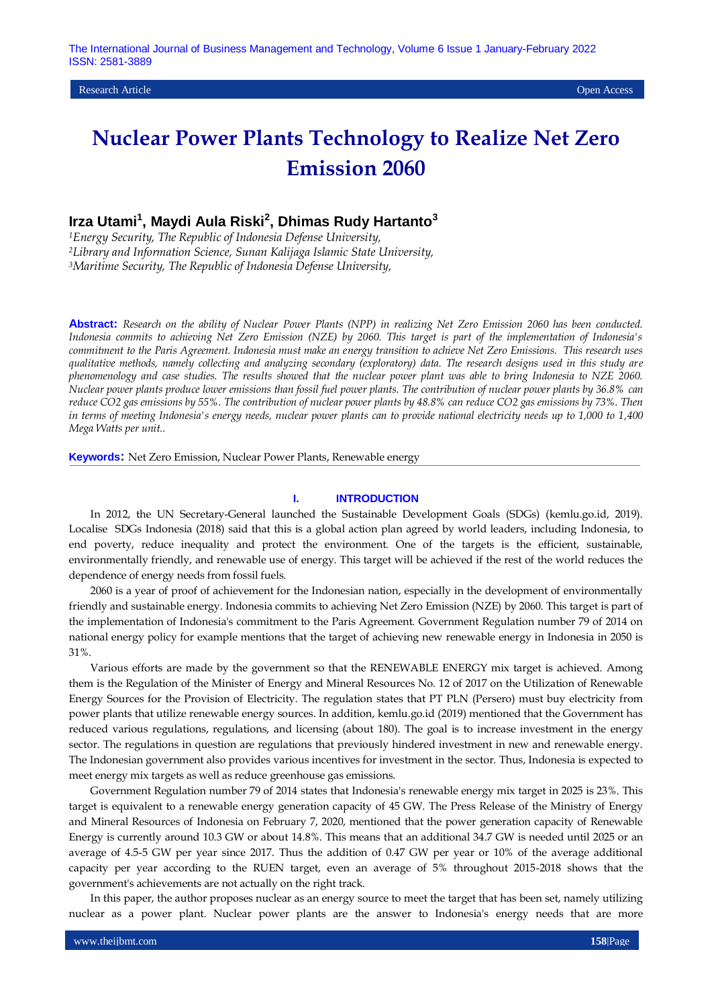Research Article Open Access

# **Nuclear Power Plants Technology to Realize Net Zero Emission 2060**

## **Irza Utami<sup>1</sup> , Maydi Aula Riski<sup>2</sup> , Dhimas Rudy Hartanto<sup>3</sup>**

*<sup>1</sup>Energy Security, The Republic of Indonesia Defense University, <sup>2</sup>Library and Information Science, Sunan Kalijaga Islamic State University, <sup>3</sup>Maritime Security, The Republic of Indonesia Defense University,* 

**Abstract:** *Research on the ability of Nuclear Power Plants (NPP) in realizing Net Zero Emission 2060 has been conducted. Indonesia commits to achieving Net Zero Emission (NZE) by 2060. This target is part of the implementation of Indonesia's commitment to the Paris Agreement. Indonesia must make an energy transition to achieve Net Zero Emissions. This research uses qualitative methods, namely collecting and analyzing secondary (exploratory) data. The research designs used in this study are phenomenology and case studies. The results showed that the nuclear power plant was able to bring Indonesia to NZE 2060. Nuclear power plants produce lower emissions than fossil fuel power plants. The contribution of nuclear power plants by 36.8% can reduce CO2 gas emissions by 55%. The contribution of nuclear power plants by 48.8% can reduce CO2 gas emissions by 73%. Then in terms of meeting Indonesia's energy needs, nuclear power plants can to provide national electricity needs up to 1,000 to 1,400 Mega Watts per unit..*

**Keywords:** Net Zero Emission, Nuclear Power Plants, Renewable energy

#### **I. INTRODUCTION**

In 2012, the UN Secretary-General launched the Sustainable Development Goals (SDGs) (kemlu.go.id, 2019). Localise SDGs Indonesia (2018) said that this is a global action plan agreed by world leaders, including Indonesia, to end poverty, reduce inequality and protect the environment. One of the targets is the efficient, sustainable, environmentally friendly, and renewable use of energy. This target will be achieved if the rest of the world reduces the dependence of energy needs from fossil fuels.

2060 is a year of proof of achievement for the Indonesian nation, especially in the development of environmentally friendly and sustainable energy. Indonesia commits to achieving Net Zero Emission (NZE) by 2060. This target is part of the implementation of Indonesia's commitment to the Paris Agreement. Government Regulation number 79 of 2014 on national energy policy for example mentions that the target of achieving new renewable energy in Indonesia in 2050 is 31%.

Various efforts are made by the government so that the RENEWABLE ENERGY mix target is achieved. Among them is the Regulation of the Minister of Energy and Mineral Resources No. 12 of 2017 on the Utilization of Renewable Energy Sources for the Provision of Electricity. The regulation states that PT PLN (Persero) must buy electricity from power plants that utilize renewable energy sources. In addition, kemlu.go.id (2019) mentioned that the Government has reduced various regulations, regulations, and licensing (about 180). The goal is to increase investment in the energy sector. The regulations in question are regulations that previously hindered investment in new and renewable energy. The Indonesian government also provides various incentives for investment in the sector. Thus, Indonesia is expected to meet energy mix targets as well as reduce greenhouse gas emissions.

Government Regulation number 79 of 2014 states that Indonesia's renewable energy mix target in 2025 is 23%. This target is equivalent to a renewable energy generation capacity of 45 GW. The Press Release of the Ministry of Energy and Mineral Resources of Indonesia on February 7, 2020, mentioned that the power generation capacity of Renewable Energy is currently around 10.3 GW or about 14.8%. This means that an additional 34.7 GW is needed until 2025 or an average of 4.5-5 GW per year since 2017. Thus the addition of 0.47 GW per year or 10% of the average additional capacity per year according to the RUEN target, even an average of 5% throughout 2015-2018 shows that the government's achievements are not actually on the right track.

In this paper, the author proposes nuclear as an energy source to meet the target that has been set, namely utilizing nuclear as a power plant. Nuclear power plants are the answer to Indonesia's energy needs that are more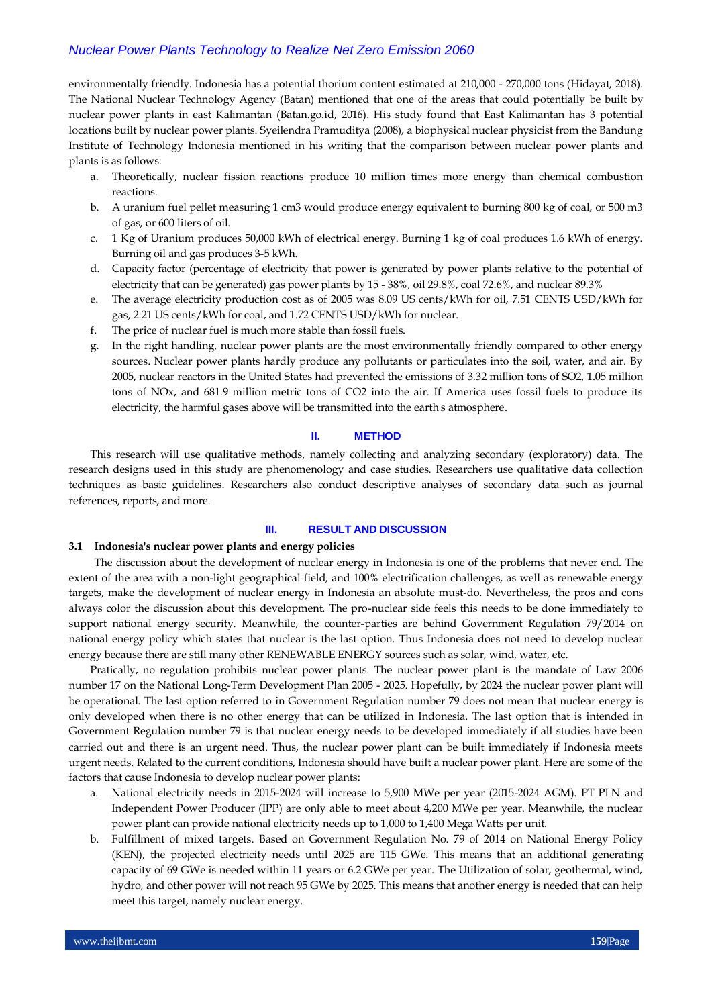## *Nuclear Power Plants Technology to Realize Net Zero Emission 2060*

environmentally friendly. Indonesia has a potential thorium content estimated at 210,000 - 270,000 tons (Hidayat, 2018). The National Nuclear Technology Agency (Batan) mentioned that one of the areas that could potentially be built by nuclear power plants in east Kalimantan (Batan.go.id, 2016). His study found that East Kalimantan has 3 potential locations built by nuclear power plants. Syeilendra Pramuditya (2008), a biophysical nuclear physicist from the Bandung Institute of Technology Indonesia mentioned in his writing that the comparison between nuclear power plants and plants is as follows:

- a. Theoretically, nuclear fission reactions produce 10 million times more energy than chemical combustion reactions.
- b. A uranium fuel pellet measuring 1 cm3 would produce energy equivalent to burning 800 kg of coal, or 500 m3 of gas, or 600 liters of oil.
- c. 1 Kg of Uranium produces 50,000 kWh of electrical energy. Burning 1 kg of coal produces 1.6 kWh of energy. Burning oil and gas produces 3-5 kWh.
- d. Capacity factor (percentage of electricity that power is generated by power plants relative to the potential of electricity that can be generated) gas power plants by 15 - 38%, oil 29.8%, coal 72.6%, and nuclear 89.3%
- e. The average electricity production cost as of 2005 was 8.09 US cents/kWh for oil, 7.51 CENTS USD/kWh for gas, 2.21 US cents/kWh for coal, and 1.72 CENTS USD/kWh for nuclear.
- f. The price of nuclear fuel is much more stable than fossil fuels.
- g. In the right handling, nuclear power plants are the most environmentally friendly compared to other energy sources. Nuclear power plants hardly produce any pollutants or particulates into the soil, water, and air. By 2005, nuclear reactors in the United States had prevented the emissions of 3.32 million tons of SO2, 1.05 million tons of NOx, and 681.9 million metric tons of CO2 into the air. If America uses fossil fuels to produce its electricity, the harmful gases above will be transmitted into the earth's atmosphere.

## **II. METHOD**

This research will use qualitative methods, namely collecting and analyzing secondary (exploratory) data. The research designs used in this study are phenomenology and case studies. Researchers use qualitative data collection techniques as basic guidelines. Researchers also conduct descriptive analyses of secondary data such as journal references, reports, and more.

#### **III. RESULT AND DISCUSSION**

## **3.1 Indonesia's nuclear power plants and energy policies**

The discussion about the development of nuclear energy in Indonesia is one of the problems that never end. The extent of the area with a non-light geographical field, and 100% electrification challenges, as well as renewable energy targets, make the development of nuclear energy in Indonesia an absolute must-do. Nevertheless, the pros and cons always color the discussion about this development. The pro-nuclear side feels this needs to be done immediately to support national energy security. Meanwhile, the counter-parties are behind Government Regulation 79/2014 on national energy policy which states that nuclear is the last option. Thus Indonesia does not need to develop nuclear energy because there are still many other RENEWABLE ENERGY sources such as solar, wind, water, etc.

Pratically, no regulation prohibits nuclear power plants. The nuclear power plant is the mandate of Law 2006 number 17 on the National Long-Term Development Plan 2005 - 2025. Hopefully, by 2024 the nuclear power plant will be operational. The last option referred to in Government Regulation number 79 does not mean that nuclear energy is only developed when there is no other energy that can be utilized in Indonesia. The last option that is intended in Government Regulation number 79 is that nuclear energy needs to be developed immediately if all studies have been carried out and there is an urgent need. Thus, the nuclear power plant can be built immediately if Indonesia meets urgent needs. Related to the current conditions, Indonesia should have built a nuclear power plant. Here are some of the factors that cause Indonesia to develop nuclear power plants:

- a. National electricity needs in 2015-2024 will increase to 5,900 MWe per year (2015-2024 AGM). PT PLN and Independent Power Producer (IPP) are only able to meet about 4,200 MWe per year. Meanwhile, the nuclear power plant can provide national electricity needs up to 1,000 to 1,400 Mega Watts per unit.
- b. Fulfillment of mixed targets. Based on Government Regulation No. 79 of 2014 on National Energy Policy (KEN), the projected electricity needs until 2025 are 115 GWe. This means that an additional generating capacity of 69 GWe is needed within 11 years or 6.2 GWe per year. The Utilization of solar, geothermal, wind, hydro, and other power will not reach 95 GWe by 2025. This means that another energy is needed that can help meet this target, namely nuclear energy.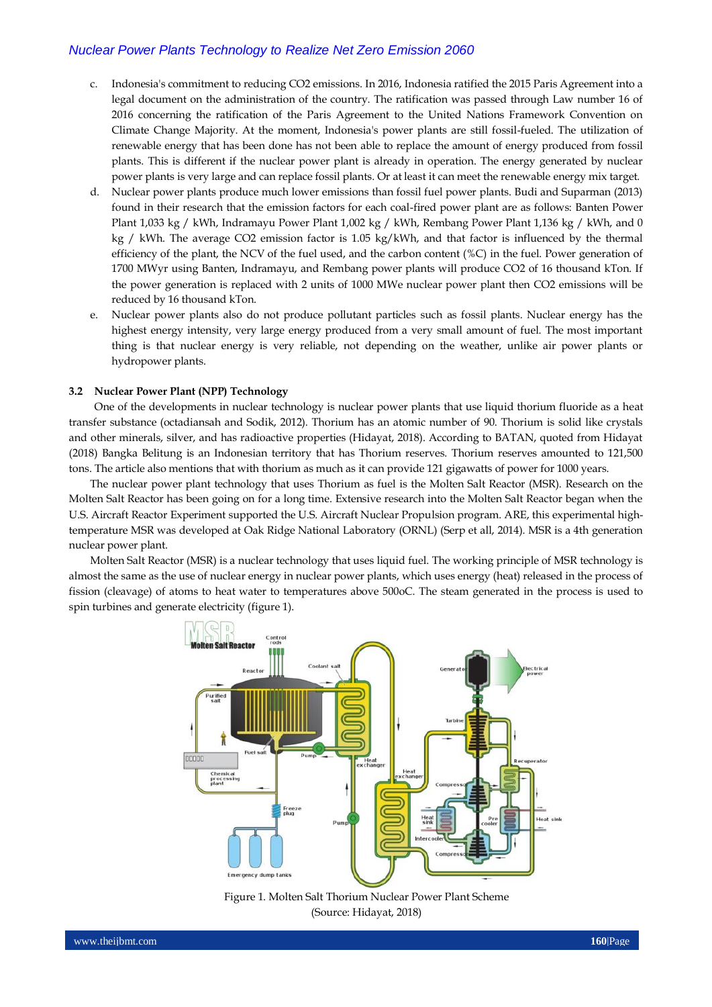## *Nuclear Power Plants Technology to Realize Net Zero Emission 2060*

- c. Indonesia's commitment to reducing CO2 emissions. In 2016, Indonesia ratified the 2015 Paris Agreement into a legal document on the administration of the country. The ratification was passed through Law number 16 of 2016 concerning the ratification of the Paris Agreement to the United Nations Framework Convention on Climate Change Majority. At the moment, Indonesia's power plants are still fossil-fueled. The utilization of renewable energy that has been done has not been able to replace the amount of energy produced from fossil plants. This is different if the nuclear power plant is already in operation. The energy generated by nuclear power plants is very large and can replace fossil plants. Or at least it can meet the renewable energy mix target.
- d. Nuclear power plants produce much lower emissions than fossil fuel power plants. Budi and Suparman (2013) found in their research that the emission factors for each coal-fired power plant are as follows: Banten Power Plant 1,033 kg / kWh, Indramayu Power Plant 1,002 kg / kWh, Rembang Power Plant 1,136 kg / kWh, and 0 kg / kWh. The average CO2 emission factor is 1.05 kg/kWh, and that factor is influenced by the thermal efficiency of the plant, the NCV of the fuel used, and the carbon content (%C) in the fuel. Power generation of 1700 MWyr using Banten, Indramayu, and Rembang power plants will produce CO2 of 16 thousand kTon. If the power generation is replaced with 2 units of 1000 MWe nuclear power plant then CO2 emissions will be reduced by 16 thousand kTon.
- e. Nuclear power plants also do not produce pollutant particles such as fossil plants. Nuclear energy has the highest energy intensity, very large energy produced from a very small amount of fuel. The most important thing is that nuclear energy is very reliable, not depending on the weather, unlike air power plants or hydropower plants.

## **3.2 Nuclear Power Plant (NPP) Technology**

One of the developments in nuclear technology is nuclear power plants that use liquid thorium fluoride as a heat transfer substance (octadiansah and Sodik, 2012). Thorium has an atomic number of 90. Thorium is solid like crystals and other minerals, silver, and has radioactive properties (Hidayat, 2018). According to BATAN, quoted from Hidayat (2018) Bangka Belitung is an Indonesian territory that has Thorium reserves. Thorium reserves amounted to 121,500 tons. The article also mentions that with thorium as much as it can provide 121 gigawatts of power for 1000 years.

The nuclear power plant technology that uses Thorium as fuel is the Molten Salt Reactor (MSR). Research on the Molten Salt Reactor has been going on for a long time. Extensive research into the Molten Salt Reactor began when the U.S. Aircraft Reactor Experiment supported the U.S. Aircraft Nuclear Propulsion program. ARE, this experimental hightemperature MSR was developed at Oak Ridge National Laboratory (ORNL) (Serp et all, 2014). MSR is a 4th generation nuclear power plant.

Molten Salt Reactor (MSR) is a nuclear technology that uses liquid fuel. The working principle of MSR technology is almost the same as the use of nuclear energy in nuclear power plants, which uses energy (heat) released in the process of fission (cleavage) of atoms to heat water to temperatures above 500oC. The steam generated in the process is used to spin turbines and generate electricity (figure 1).



Figure 1. Molten Salt Thorium Nuclear Power Plant Scheme (Source: Hidayat, 2018)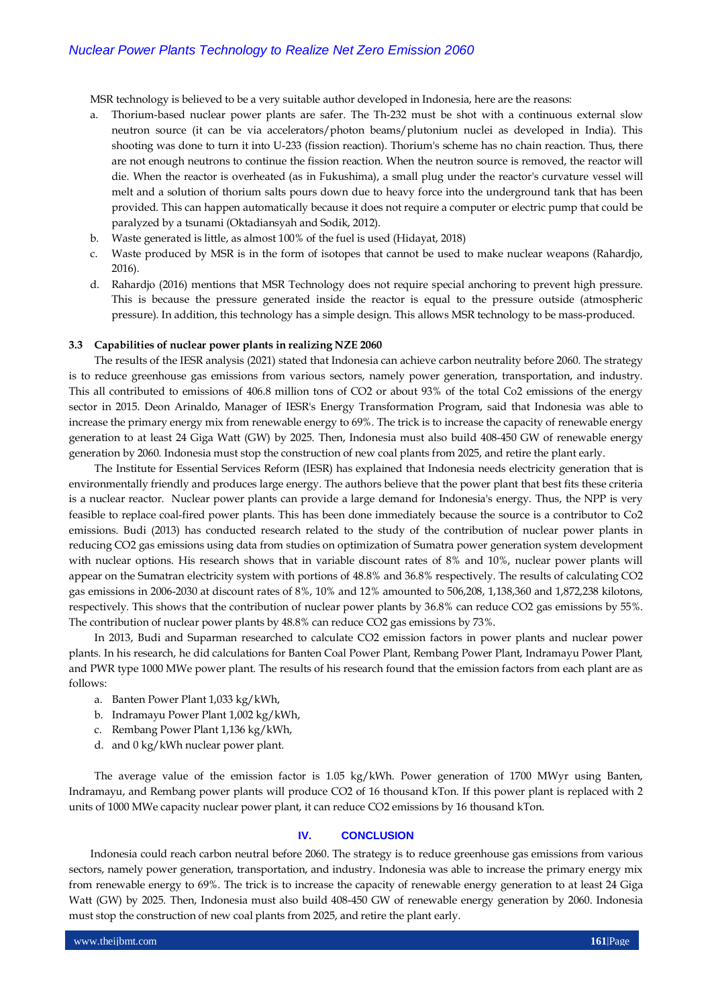MSR technology is believed to be a very suitable author developed in Indonesia, here are the reasons:

- a. Thorium-based nuclear power plants are safer. The Th-232 must be shot with a continuous external slow neutron source (it can be via accelerators/photon beams/plutonium nuclei as developed in India). This shooting was done to turn it into U-233 (fission reaction). Thorium's scheme has no chain reaction. Thus, there are not enough neutrons to continue the fission reaction. When the neutron source is removed, the reactor will die. When the reactor is overheated (as in Fukushima), a small plug under the reactor's curvature vessel will melt and a solution of thorium salts pours down due to heavy force into the underground tank that has been provided. This can happen automatically because it does not require a computer or electric pump that could be paralyzed by a tsunami (Oktadiansyah and Sodik, 2012).
- b. Waste generated is little, as almost 100% of the fuel is used (Hidayat, 2018)
- c. Waste produced by MSR is in the form of isotopes that cannot be used to make nuclear weapons (Rahardjo, 2016).
- d. Rahardjo (2016) mentions that MSR Technology does not require special anchoring to prevent high pressure. This is because the pressure generated inside the reactor is equal to the pressure outside (atmospheric pressure). In addition, this technology has a simple design. This allows MSR technology to be mass-produced.

## **3.3 Capabilities of nuclear power plants in realizing NZE 2060**

The results of the IESR analysis (2021) stated that Indonesia can achieve carbon neutrality before 2060. The strategy is to reduce greenhouse gas emissions from various sectors, namely power generation, transportation, and industry. This all contributed to emissions of 406.8 million tons of CO2 or about 93% of the total Co2 emissions of the energy sector in 2015. Deon Arinaldo, Manager of IESR's Energy Transformation Program, said that Indonesia was able to increase the primary energy mix from renewable energy to 69%. The trick is to increase the capacity of renewable energy generation to at least 24 Giga Watt (GW) by 2025. Then, Indonesia must also build 408-450 GW of renewable energy generation by 2060. Indonesia must stop the construction of new coal plants from 2025, and retire the plant early.

The Institute for Essential Services Reform (IESR) has explained that Indonesia needs electricity generation that is environmentally friendly and produces large energy. The authors believe that the power plant that best fits these criteria is a nuclear reactor. Nuclear power plants can provide a large demand for Indonesia's energy. Thus, the NPP is very feasible to replace coal-fired power plants. This has been done immediately because the source is a contributor to Co2 emissions. Budi (2013) has conducted research related to the study of the contribution of nuclear power plants in reducing CO2 gas emissions using data from studies on optimization of Sumatra power generation system development with nuclear options. His research shows that in variable discount rates of 8% and 10%, nuclear power plants will appear on the Sumatran electricity system with portions of 48.8% and 36.8% respectively. The results of calculating CO2 gas emissions in 2006-2030 at discount rates of 8%, 10% and 12% amounted to 506,208, 1,138,360 and 1,872,238 kilotons, respectively. This shows that the contribution of nuclear power plants by 36.8% can reduce CO2 gas emissions by 55%. The contribution of nuclear power plants by 48.8% can reduce CO2 gas emissions by 73%.

In 2013, Budi and Suparman researched to calculate CO2 emission factors in power plants and nuclear power plants. In his research, he did calculations for Banten Coal Power Plant, Rembang Power Plant, Indramayu Power Plant, and PWR type 1000 MWe power plant. The results of his research found that the emission factors from each plant are as follows:

- a. Banten Power Plant 1,033 kg/kWh,
- b. Indramayu Power Plant 1,002 kg/kWh,
- c. Rembang Power Plant 1,136 kg/kWh,
- d. and 0 kg/kWh nuclear power plant.

The average value of the emission factor is 1.05 kg/kWh. Power generation of 1700 MWyr using Banten, Indramayu, and Rembang power plants will produce CO2 of 16 thousand kTon. If this power plant is replaced with 2 units of 1000 MWe capacity nuclear power plant, it can reduce CO2 emissions by 16 thousand kTon.

#### **IV. CONCLUSION**

Indonesia could reach carbon neutral before 2060. The strategy is to reduce greenhouse gas emissions from various sectors, namely power generation, transportation, and industry. Indonesia was able to increase the primary energy mix from renewable energy to 69%. The trick is to increase the capacity of renewable energy generation to at least 24 Giga Watt (GW) by 2025. Then, Indonesia must also build 408-450 GW of renewable energy generation by 2060. Indonesia must stop the construction of new coal plants from 2025, and retire the plant early.